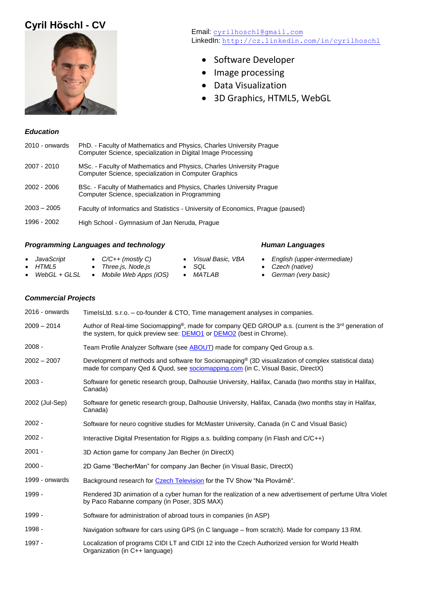# **Cyril Höschl - CV**



Email: [cyrilhoschl@gmail.com](file:///C:/Users/Cyril/GDrive/Dokumenty/cyrilhoschl@gmail.com) LinkedIn: <http://cz.linkedin.com/in/cyrilhoschl>

- Software Developer
- Image processing
- Data Visualization
- 3D Graphics, HTML5, WebGL

### *Education*

| 2010 - onwards | PhD. - Faculty of Mathematics and Physics, Charles University Prague<br>Computer Science, specialization in Digital Image Processing |
|----------------|--------------------------------------------------------------------------------------------------------------------------------------|
| 2007 - 2010    | MSc. - Faculty of Mathematics and Physics, Charles University Prague<br>Computer Science, specialization in Computer Graphics        |
| $2002 - 2006$  | BSc. - Faculty of Mathematics and Physics, Charles University Prague<br>Computer Science, specialization in Programming              |
| $2003 - 2005$  | Faculty of Informatics and Statistics - University of Economics, Prague (paused)                                                     |
| 1996 - 2002    | High School - Gymnasium of Jan Neruda, Prague                                                                                        |

### *Programming Languages and technology Human Languages*

#### • *JavaScript* • *HTML5* • *WebGL + GLSL* • *Mobile Web Apps (iOS)* • *MATLAB* • *C/C++ (mostly C)* • *Three.js, Node.js* • *Visual Basic, VBA* • *SQL* • *English (upper-intermediate)* • *Czech (native)* • *German (very basic)*

*Commercial Projects*

| 2016 - onwards | TimelsLtd. s.r.o. - co-founder & CTO, Time management analyses in companies.                                                                                                                         |
|----------------|------------------------------------------------------------------------------------------------------------------------------------------------------------------------------------------------------|
| $2009 - 2014$  | Author of Real-time Sociomapping <sup>®</sup> , made for company QED GROUP a.s. (current is the 3 <sup>rd</sup> generation of<br>the system, for quick preview see: DEMO1 or DEMO2 (best in Chrome). |
| $2008 -$       | Team Profile Analyzer Software (see ABOUT) made for company Qed Group a.s.                                                                                                                           |
| $2002 - 2007$  | Development of methods and software for Sociomapping <sup>®</sup> (3D visualization of complex statistical data)<br>made for company Qed & Quod, see sociomapping.com (in C, Visual Basic, DirectX)  |
| $2003 -$       | Software for genetic research group, Dalhousie University, Halifax, Canada (two months stay in Halifax,<br>Canada)                                                                                   |
| 2002 (Jul-Sep) | Software for genetic research group, Dalhousie University, Halifax, Canada (two months stay in Halifax,<br>Canada)                                                                                   |
| $2002 -$       | Software for neuro cognitive studies for McMaster University, Canada (in C and Visual Basic)                                                                                                         |
| $2002 -$       | Interactive Digital Presentation for Rigips a.s. building company (in Flash and C/C++)                                                                                                               |
| $2001 -$       | 3D Action game for company Jan Becher (in DirectX)                                                                                                                                                   |
| $2000 -$       | 2D Game "BecherMan" for company Jan Becher (in Visual Basic, DirectX)                                                                                                                                |
| 1999 - onwards | Background research for Czech Television for the TV Show "Na Plovárně".                                                                                                                              |
| 1999 -         | Rendered 3D animation of a cyber human for the realization of a new advertisement of perfume Ultra Violet<br>by Paco Rabanne company (in Poser, 3DS MAX)                                             |
| 1999 -         | Software for administration of abroad tours in companies (in ASP)                                                                                                                                    |
| 1998 -         | Navigation software for cars using GPS (in C language - from scratch). Made for company 13 RM.                                                                                                       |
| 1997 -         | Localization of programs CIDI LT and CIDI 12 into the Czech Authorized version for World Health<br>Organization (in C++ language)                                                                    |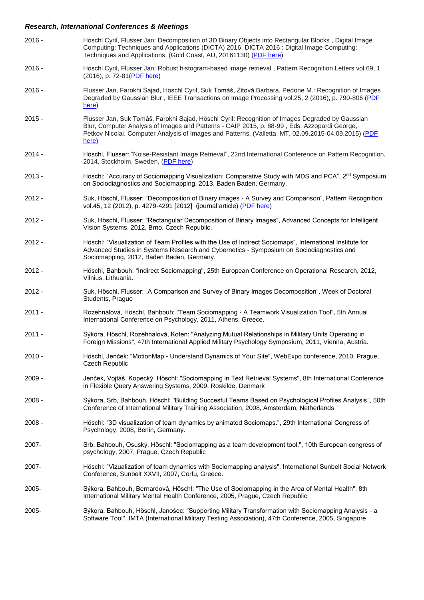# *Research, International Conferences & Meetings*

| $2016 -$ | Höschl Cyril, Flusser Jan: Decomposition of 3D Binary Objects into Rectangular Blocks, Digital Image<br>Computing: Techniques and Applications (DICTA) 2016, DICTA 2016 : Digital Image Computing:<br>Techniques and Applications, (Gold Coast, AU, 20161130) (PDF here)                                         |
|----------|------------------------------------------------------------------------------------------------------------------------------------------------------------------------------------------------------------------------------------------------------------------------------------------------------------------|
| $2016 -$ | Höschl Cyril, Flusser Jan: Robust histogram-based image retrieval, Pattern Recognition Letters vol.69, 1<br>(2016), p. 72-81(PDF here)                                                                                                                                                                           |
| $2016 -$ | Flusser Jan, Farokhi Sajad, Höschl Cyril, Suk Tomáš, Zitová Barbara, Pedone M.: Recognition of Images<br>Degraded by Gaussian Blur, IEEE Transactions on Image Processing vol.25, 2 (2016), p. 790-806 (PDF<br>here)                                                                                             |
| $2015 -$ | Flusser Jan, Suk Tomáš, Farokhi Sajad, Höschl Cyril: Recognition of Images Degraded by Gaussian<br>Blur, Computer Analysis of Images and Patterns - CAIP 2015, p. 88-99, Eds: Azzopardi George,<br>Petkov Nicolai, Computer Analysis of Images and Patterns, (Valletta, MT, 02.09.2015-04.09.2015) (PDF<br>here) |
| $2014 -$ | Höschl, Flusser: "Noise-Resistant Image Retrieval", 22nd International Conference on Pattern Recognition,<br>2014, Stockholm, Sweden, (PDF here)                                                                                                                                                                 |
| $2013 -$ | Höschl: "Accuracy of Sociomapping Visualization: Comparative Study with MDS and PCA", 2 <sup>nd</sup> Symposium<br>on Sociodiagnostics and Sociomapping, 2013, Baden Baden, Germany.                                                                                                                             |
| $2012 -$ | Suk, Höschl, Flusser: "Decomposition of Binary images - A Survey and Comparison", Pattern Recognition<br>vol.45, 12 (2012), p. 4279-4291 [2012] (journal article) (PDF here)                                                                                                                                     |
| $2012 -$ | Suk, Höschl, Flusser: "Rectangular Decomposition of Binary Images", Advanced Concepts for Intelligent<br>Vision Systems, 2012, Brno, Czech Republic.                                                                                                                                                             |
| $2012 -$ | Höschl: "Visualization of Team Profiles with the Use of Indirect Sociomaps", International Institute for<br>Advanced Studies in Systems Research and Cybernetics - Symposium on Sociodiagnostics and<br>Sociomapping, 2012, Baden Baden, Germany.                                                                |
| $2012 -$ | Höschl, Bahbouh: "Indirect Sociomapping", 25th European Conference on Operational Research, 2012,<br>Vilnius, Lithuania.                                                                                                                                                                                         |
| $2012 -$ | Suk, Höschl, Flusser: "A Comparison and Survey of Binary Images Decomposition", Week of Doctoral<br>Students, Prague                                                                                                                                                                                             |
| $2011 -$ | Rozehnalová, Höschl, Bahbouh: "Team Sociomapping - A Teamwork Visualization Tool", 5th Annual<br>International Conference on Psychology, 2011, Athens, Greece.                                                                                                                                                   |
| $2011 -$ | Sýkora, Höschl, Rozehnalová, Koten: "Analyzing Mutual Relationships in Military Units Operating in<br>Foreign Missions", 47th International Applied Military Psychology Symposium, 2011, Vienna, Austria.                                                                                                        |
| $2010 -$ | Höschl, Jenček: "MotionMap - Understand Dynamics of Your Site", WebExpo conference, 2010, Prague,<br><b>Czech Republic</b>                                                                                                                                                                                       |
| $2009 -$ | Jenček, Vojtáš, Kopecký, Höschl: "Sociomapping in Text Retrieval Systems", 8th International Conference<br>in Flexible Query Answering Systems, 2009, Roskilde, Denmark                                                                                                                                          |
| $2008 -$ | Sýkora, Srb, Bahbouh, Höschl: "Building Succesful Teams Based on Psychological Profiles Analysis", 50th<br>Conference of International Military Training Association, 2008, Amsterdam, Netherlands                                                                                                               |
| $2008 -$ | Höschl: "3D visualization of team dynamics by animated Sociomaps.", 29th International Congress of<br>Psychology, 2008, Berlin, Germany.                                                                                                                                                                         |
| 2007-    | Srb, Bahbouh, Osuský, Höschl: "Sociomapping as a team development tool.", 10th European congress of<br>psychology, 2007, Prague, Czech Republic                                                                                                                                                                  |
| 2007-    | Höschl: "Vizualization of team dynamics with Sociomapping analysis", International Sunbelt Social Network<br>Conference, Sunbelt XXVII, 2007, Corfu, Greece.                                                                                                                                                     |
| 2005-    | Sýkora, Bahbouh, Bernardová, Höschl: "The Use of Sociomapping in the Area of Mental Health", 8th<br>International Military Mental Health Conference, 2005, Prague, Czech Republic                                                                                                                                |
| 2005-    | Sýkora, Bahbouh, Höschl, Janošec: "Supporting Military Transformation with Sociomapping Analysis - a<br>Software Tool". IMTA (International Military Testing Association), 47th Conference, 2005, Singapore                                                                                                      |